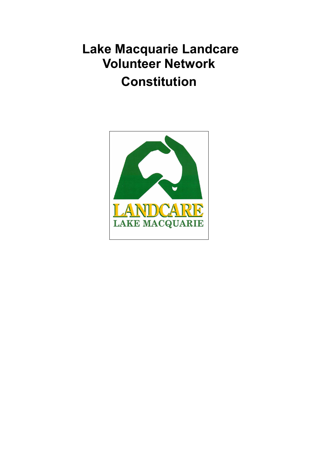# Lake Macquarie Landcare Volunteer Network **Constitution**

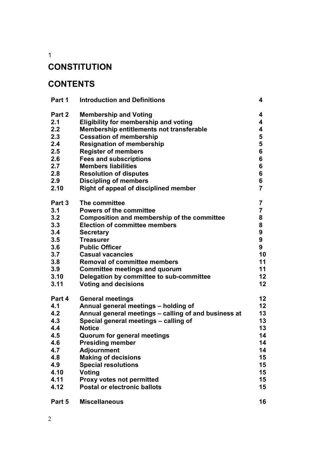1

# **CONSTITUTION**

# **CONTENTS**

| Part 1 | <b>Introduction and Definitions</b>                  | 4                       |
|--------|------------------------------------------------------|-------------------------|
| Part 2 | <b>Membership and Voting</b>                         | 4                       |
| 2.1    | <b>Eligibility for membership and voting</b>         | 4                       |
| 2.2    | <b>Membership entitlements not transferable</b>      | 4                       |
| 2.3    | <b>Cessation of membership</b>                       | 5                       |
| 2.4    | <b>Resignation of membership</b>                     | 5                       |
| 2.5    | <b>Register of members</b>                           | 6                       |
| 2.6    | <b>Fees and subscriptions</b>                        | 6                       |
| 2.7    | <b>Members liabilities</b>                           | 6                       |
| 2.8    | <b>Resolution of disputes</b>                        | 6                       |
| 2.9    | <b>Discipling of members</b>                         | 6                       |
| 2.10   | Right of appeal of disciplined member                | $\overline{7}$          |
| Part 3 | The committee                                        | 7                       |
| 3.1    | <b>Powers of the committee</b>                       | $\overline{\mathbf{7}}$ |
| 3.2    | Composition and membership of the committee          | 8                       |
| 3.3    | <b>Election of committee members</b>                 | 8                       |
| 3.4    | <b>Secretary</b>                                     | $\boldsymbol{9}$        |
| 3.5    | <b>Treasurer</b>                                     | $\boldsymbol{9}$        |
| 3.6    | <b>Public Officer</b>                                | 9                       |
| 3.7    | <b>Casual vacancies</b>                              | 10                      |
| 3.8    | <b>Removal of committee members</b>                  | 11                      |
| 3.9    | <b>Committee meetings and quorum</b>                 | 11                      |
| 3.10   | Delegation by committee to sub-committee             | 12                      |
| 3.11   | <b>Voting and decisions</b>                          | 12                      |
| Part 4 | <b>General meetings</b>                              | 12                      |
| 4.1    | Annual general meetings - holding of                 | 12                      |
| 4.2    | Annual general meetings - calling of and business at | 13                      |
| 4.3    | Special general meetings - calling of                | 13                      |
| 4.4    | <b>Notice</b>                                        | 13                      |
| 4.5    | <b>Quorum for general meetings</b>                   | 14                      |
| 4.6    | <b>Presiding member</b>                              | 14                      |
| 4.7    | <b>Adjournment</b>                                   | 14                      |
| 4.8    | <b>Making of decisions</b>                           | 15                      |
| 4.9    | <b>Special resolutions</b>                           | 15                      |
| 4.10   | Voting                                               | 15                      |
| 4.11   | <b>Proxy votes not permitted</b>                     | 15                      |
| 4.12   | <b>Postal or electronic ballots</b>                  | 15                      |
| Part 5 | <b>Miscellaneous</b>                                 | 16                      |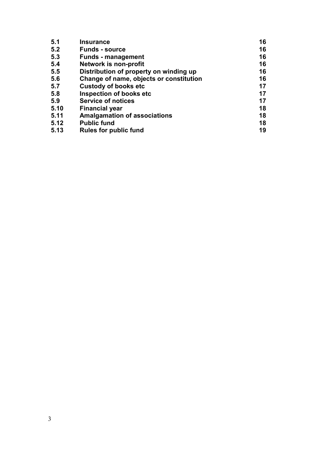| 5.1  | <b>Insurance</b>                        | 16 |
|------|-----------------------------------------|----|
| 5.2  | <b>Funds - source</b>                   | 16 |
| 5.3  | <b>Funds - management</b>               | 16 |
| 5.4  | Network is non-profit                   | 16 |
| 5.5  | Distribution of property on winding up  | 16 |
| 5.6  | Change of name, objects or constitution | 16 |
| 5.7  | <b>Custody of books etc</b>             | 17 |
| 5.8  | <b>Inspection of books etc</b>          | 17 |
| 5.9  | <b>Service of notices</b>               | 17 |
| 5.10 | <b>Financial year</b>                   | 18 |
| 5.11 | <b>Amalgamation of associations</b>     | 18 |
| 5.12 | <b>Public fund</b>                      | 18 |
| 5.13 | <b>Rules for public fund</b>            | 19 |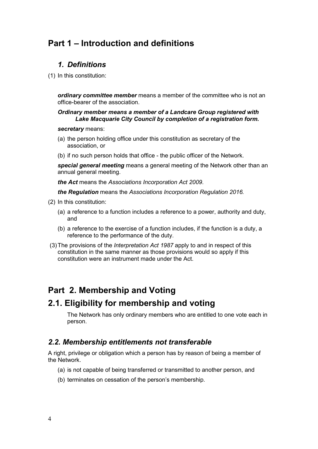# Part 1 – Introduction and definitions

# 1. Definitions

(1) In this constitution:

ordinary committee member means a member of the committee who is not an office-bearer of the association.

#### Ordinary member means a member of a Landcare Group registered with Lake Macquarie City Council by completion of a registration form.

#### secretary means:

- (a) the person holding office under this constitution as secretary of the association, or
- (b) if no such person holds that office the public officer of the Network.

special general meeting means a general meeting of the Network other than an annual general meeting.

the Act means the Associations Incorporation Act 2009.

the Regulation means the Associations Incorporation Regulation 2016.

- (2) In this constitution:
	- (a) a reference to a function includes a reference to a power, authority and duty, and
	- (b) a reference to the exercise of a function includes, if the function is a duty, a reference to the performance of the duty.
- (3) The provisions of the Interpretation Act 1987 apply to and in respect of this constitution in the same manner as those provisions would so apply if this constitution were an instrument made under the Act.

# Part 2. Membership and Voting

# 2.1. Eligibility for membership and voting

The Network has only ordinary members who are entitled to one vote each in person.

#### 2.2. Membership entitlements not transferable

A right, privilege or obligation which a person has by reason of being a member of the Network.

- (a) is not capable of being transferred or transmitted to another person, and
- (b) terminates on cessation of the person's membership.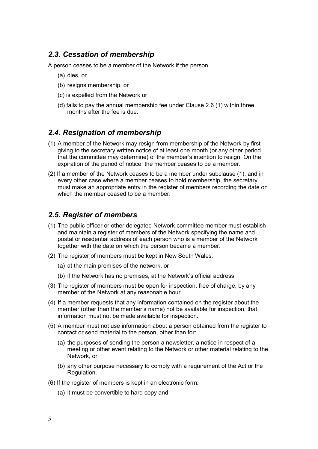# 2.3. Cessation of membership

A person ceases to be a member of the Network if the person

- (a) dies, or
- (b) resigns membership, or
- (c) is expelled from the Network or
- (d) fails to pay the annual membership fee under Clause 2.6 (1) within three months after the fee is due.

#### 2.4. Resignation of membership

- (1) A member of the Network may resign from membership of the Network by first giving to the secretary written notice of at least one month (or any other period that the committee may determine) of the member's intention to resign. On the expiration of the period of notice, the member ceases to be a member.
- (2) If a member of the Network ceases to be a member under subclause (1), and in every other case where a member ceases to hold membership, the secretary must make an appropriate entry in the register of members recording the date on which the member ceased to be a member.

# 2.5. Register of members

- (1) The public officer or other delegated Network committee member must establish and maintain a register of members of the Network specifying the name and postal or residential address of each person who is a member of the Network together with the date on which the person became a member.
- (2) The register of members must be kept in New South Wales:
	- (a) at the main premises of the network, or
	- (b) if the Network has no premises, at the Network's official address.
- (3) The register of members must be open for inspection, free of charge, by any member of the Network at any reasonable hour.
- (4) If a member requests that any information contained on the register about the member (other than the member's name) not be available for inspection, that information must not be made available for inspection.
- (5) A member must not use information about a person obtained from the register to contact or send material to the person, other than for:
	- (a) the purposes of sending the person a newsletter, a notice in respect of a meeting or other event relating to the Network or other material relating to the Network, or
	- (b) any other purpose necessary to comply with a requirement of the Act or the Regulation.
- (6) If the register of members is kept in an electronic form:
	- (a) it must be convertible to hard copy and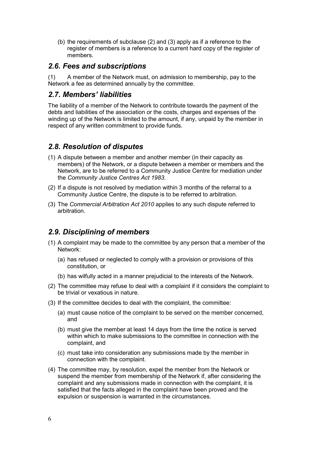(b) the requirements of subclause (2) and (3) apply as if a reference to the register of members is a reference to a current hard copy of the register of members.

#### 2.6. Fees and subscriptions

(1) A member of the Network must, on admission to membership, pay to the Network a fee as determined annually by the committee.

#### 2.7. Members' liabilities

The liability of a member of the Network to contribute towards the payment of the debts and liabilities of the association or the costs, charges and expenses of the winding up of the Network is limited to the amount, if any, unpaid by the member in respect of any written commitment to provide funds.

# 2.8. Resolution of disputes

- (1) A dispute between a member and another member (in their capacity as members) of the Network, or a dispute between a member or members and the Network, are to be referred to a Community Justice Centre for mediation under the Community Justice Centres Act 1983.
- (2) If a dispute is not resolved by mediation within 3 months of the referral to a Community Justice Centre, the dispute is to be referred to arbitration.
- (3) The Commercial Arbitration Act 2010 applies to any such dispute referred to arbitration.

# 2.9. Disciplining of members

- (1) A complaint may be made to the committee by any person that a member of the Network:
	- (a) has refused or neglected to comply with a provision or provisions of this constitution, or
	- (b) has wilfully acted in a manner prejudicial to the interests of the Network.
- (2) The committee may refuse to deal with a complaint if it considers the complaint to be trivial or vexatious in nature.
- (3) If the committee decides to deal with the complaint, the committee:
	- (a) must cause notice of the complaint to be served on the member concerned, and
	- (b) must give the member at least 14 days from the time the notice is served within which to make submissions to the committee in connection with the complaint, and
	- (c) must take into consideration any submissions made by the member in connection with the complaint.
- (4) The committee may, by resolution, expel the member from the Network or suspend the member from membership of the Network if, after considering the complaint and any submissions made in connection with the complaint, it is satisfied that the facts alleged in the complaint have been proved and the expulsion or suspension is warranted in the circumstances.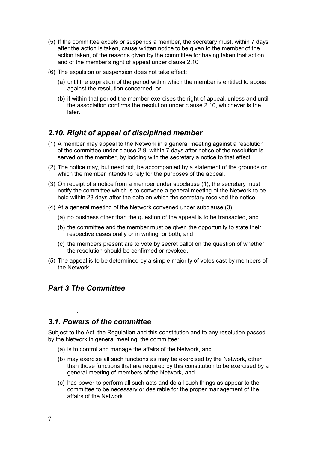- (5) If the committee expels or suspends a member, the secretary must, within 7 days after the action is taken, cause written notice to be given to the member of the action taken, of the reasons given by the committee for having taken that action and of the member's right of appeal under clause 2.10
- (6) The expulsion or suspension does not take effect:
	- (a) until the expiration of the period within which the member is entitled to appeal against the resolution concerned, or
	- (b) if within that period the member exercises the right of appeal, unless and until the association confirms the resolution under clause 2.10, whichever is the later.

# 2.10. Right of appeal of disciplined member

- (1) A member may appeal to the Network in a general meeting against a resolution of the committee under clause 2.9, within 7 days after notice of the resolution is served on the member, by lodging with the secretary a notice to that effect.
- (2) The notice may, but need not, be accompanied by a statement of the grounds on which the member intends to rely for the purposes of the appeal.
- (3) On receipt of a notice from a member under subclause (1), the secretary must notify the committee which is to convene a general meeting of the Network to be held within 28 days after the date on which the secretary received the notice.
- (4) At a general meeting of the Network convened under subclause (3):
	- (a) no business other than the question of the appeal is to be transacted, and
	- (b) the committee and the member must be given the opportunity to state their respective cases orally or in writing, or both, and
	- (c) the members present are to vote by secret ballot on the question of whether the resolution should be confirmed or revoked.
- (5) The appeal is to be determined by a simple majority of votes cast by members of the Network.

#### Part 3 The Committee

.

#### 3.1. Powers of the committee

Subject to the Act, the Regulation and this constitution and to any resolution passed by the Network in general meeting, the committee:

- (a) is to control and manage the affairs of the Network, and
- (b) may exercise all such functions as may be exercised by the Network, other than those functions that are required by this constitution to be exercised by a general meeting of members of the Network, and
- (c) has power to perform all such acts and do all such things as appear to the committee to be necessary or desirable for the proper management of the affairs of the Network.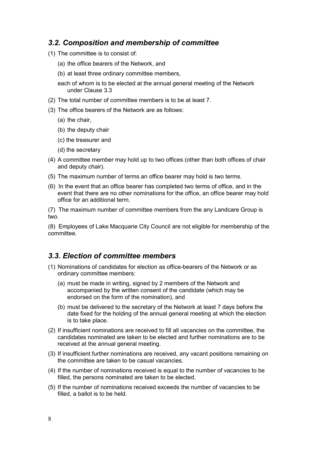#### 3.2. Composition and membership of committee

- (1) The committee is to consist of:
	- (a) the office bearers of the Network, and
	- (b) at least three ordinary committee members,
	- each of whom is to be elected at the annual general meeting of the Network under Clause 3.3
- (2) The total number of committee members is to be at least 7.
- (3) The office bearers of the Network are as follows:
	- (a) the chair,
	- (b) the deputy chair
	- (c) the treasurer and
	- (d) the secretary
- (4) A committee member may hold up to two offices (other than both offices of chair and deputy chair).
- (5) The maximum number of terms an office bearer may hold is two terms.
- (6) In the event that an office bearer has completed two terms of office, and in the event that there are no other nominations for the office, an office bearer may hold office for an additional term.

(7) The maximum number of committee members from the any Landcare Group is two.

(8) Employees of Lake Macquarie City Council are not eligible for membership of the committee.

# 3.3. Election of committee members

- (1) Nominations of candidates for election as office-bearers of the Network or as ordinary committee members:
	- (a) must be made in writing, signed by 2 members of the Network and accompanied by the written consent of the candidate (which may be endorsed on the form of the nomination), and
	- (b) must be delivered to the secretary of the Network at least 7 days before the date fixed for the holding of the annual general meeting at which the election is to take place.
- (2) If insufficient nominations are received to fill all vacancies on the committee, the candidates nominated are taken to be elected and further nominations are to be received at the annual general meeting.
- (3) If insufficient further nominations are received, any vacant positions remaining on the committee are taken to be casual vacancies.
- (4) If the number of nominations received is equal to the number of vacancies to be filled, the persons nominated are taken to be elected.
- (5) If the number of nominations received exceeds the number of vacancies to be filled, a ballot is to be held.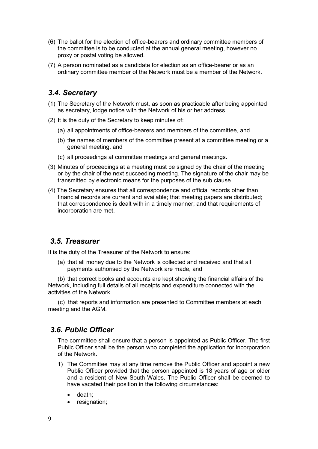- (6) The ballot for the election of office-bearers and ordinary committee members of the committee is to be conducted at the annual general meeting, however no proxy or postal voting be allowed.
- (7) A person nominated as a candidate for election as an office-bearer or as an ordinary committee member of the Network must be a member of the Network.

### 3.4. Secretary

- (1) The Secretary of the Network must, as soon as practicable after being appointed as secretary, lodge notice with the Network of his or her address.
- (2) It is the duty of the Secretary to keep minutes of:
	- (a) all appointments of office-bearers and members of the committee, and
	- (b) the names of members of the committee present at a committee meeting or a general meeting, and
	- (c) all proceedings at committee meetings and general meetings.
- (3) Minutes of proceedings at a meeting must be signed by the chair of the meeting or by the chair of the next succeeding meeting. The signature of the chair may be transmitted by electronic means for the purposes of the sub clause.
- (4) The Secretary ensures that all correspondence and official records other than financial records are current and available; that meeting papers are distributed; that correspondence is dealt with in a timely manner; and that requirements of incorporation are met.

#### 3.5. Treasurer

It is the duty of the Treasurer of the Network to ensure:

(a) that all money due to the Network is collected and received and that all payments authorised by the Network are made, and

(b) that correct books and accounts are kept showing the financial affairs of the Network, including full details of all receipts and expenditure connected with the activities of the Network.

 (c) that reports and information are presented to Committee members at each meeting and the AGM.

#### 3.6. Public Officer

The committee shall ensure that a person is appointed as Public Officer. The first Public Officer shall be the person who completed the application for incorporation of the Network.

- 1) The Committee may at any time remove the Public Officer and appoint a new Public Officer provided that the person appointed is 18 years of age or older and a resident of New South Wales. The Public Officer shall be deemed to have vacated their position in the following circumstances:
	- death:
	- resignation;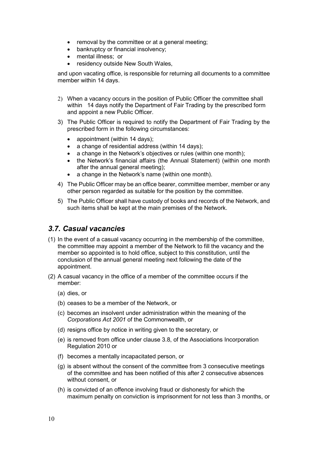- removal by the committee or at a general meeting;
- bankruptcy or financial insolvency;
- mental illness; or
- residency outside New South Wales,

and upon vacating office, is responsible for returning all documents to a committee member within 14 days.

- 2) When a vacancy occurs in the position of Public Officer the committee shall within 14 days notify the Department of Fair Trading by the prescribed form and appoint a new Public Officer.
- 3) The Public Officer is required to notify the Department of Fair Trading by the prescribed form in the following circumstances:
	- appointment (within 14 days);
	- a change of residential address (within 14 days);
	- a change in the Network's objectives or rules (within one month);
	- the Network's financial affairs (the Annual Statement) (within one month after the annual general meeting);
	- a change in the Network's name (within one month).
- 4) The Public Officer may be an office bearer, committee member, member or any other person regarded as suitable for the position by the committee.
- 5) The Public Officer shall have custody of books and records of the Network, and such items shall be kept at the main premises of the Network.

#### 3.7. Casual vacancies

- (1) In the event of a casual vacancy occurring in the membership of the committee, the committee may appoint a member of the Network to fill the vacancy and the member so appointed is to hold office, subject to this constitution, until the conclusion of the annual general meeting next following the date of the appointment.
- (2) A casual vacancy in the office of a member of the committee occurs if the member:
	- (a) dies, or
	- (b) ceases to be a member of the Network, or
	- (c) becomes an insolvent under administration within the meaning of the Corporations Act 2001 of the Commonwealth, or
	- (d) resigns office by notice in writing given to the secretary, or
	- (e) is removed from office under clause 3.8, of the Associations Incorporation Regulation 2010 or
	- (f) becomes a mentally incapacitated person, or
	- (g) is absent without the consent of the committee from 3 consecutive meetings of the committee and has been notified of this after 2 consecutive absences without consent, or
	- (h) is convicted of an offence involving fraud or dishonesty for which the maximum penalty on conviction is imprisonment for not less than 3 months, or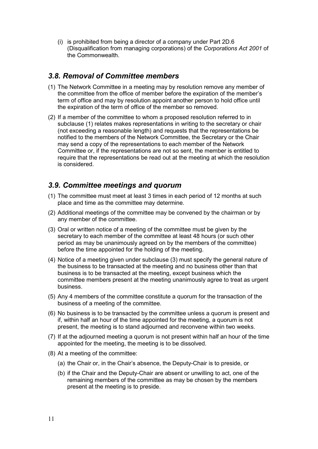(i) is prohibited from being a director of a company under Part 2D.6 (Disqualification from managing corporations) of the Corporations Act 2001 of the Commonwealth.

#### 3.8. Removal of Committee members

- (1) The Network Committee in a meeting may by resolution remove any member of the committee from the office of member before the expiration of the member's term of office and may by resolution appoint another person to hold office until the expiration of the term of office of the member so removed.
- (2) If a member of the committee to whom a proposed resolution referred to in subclause (1) relates makes representations in writing to the secretary or chair (not exceeding a reasonable length) and requests that the representations be notified to the members of the Network Committee, the Secretary or the Chair may send a copy of the representations to each member of the Network Committee or, if the representations are not so sent, the member is entitled to require that the representations be read out at the meeting at which the resolution is considered.

#### 3.9. Committee meetings and quorum

- (1) The committee must meet at least 3 times in each period of 12 months at such place and time as the committee may determine.
- (2) Additional meetings of the committee may be convened by the chairman or by any member of the committee.
- (3) Oral or written notice of a meeting of the committee must be given by the secretary to each member of the committee at least 48 hours (or such other period as may be unanimously agreed on by the members of the committee) before the time appointed for the holding of the meeting.
- (4) Notice of a meeting given under subclause (3) must specify the general nature of the business to be transacted at the meeting and no business other than that business is to be transacted at the meeting, except business which the committee members present at the meeting unanimously agree to treat as urgent business.
- (5) Any 4 members of the committee constitute a quorum for the transaction of the business of a meeting of the committee.
- (6) No business is to be transacted by the committee unless a quorum is present and if, within half an hour of the time appointed for the meeting, a quorum is not present, the meeting is to stand adjourned and reconvene within two weeks.
- (7) If at the adjourned meeting a quorum is not present within half an hour of the time appointed for the meeting, the meeting is to be dissolved.
- (8) At a meeting of the committee:
	- (a) the Chair or, in the Chair's absence, the Deputy-Chair is to preside, or
	- (b) if the Chair and the Deputy-Chair are absent or unwilling to act, one of the remaining members of the committee as may be chosen by the members present at the meeting is to preside.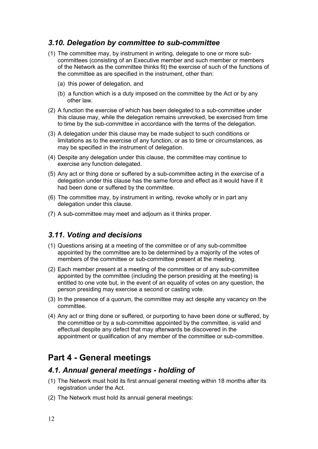# 3.10. Delegation by committee to sub-committee

- (1) The committee may, by instrument in writing, delegate to one or more subcommittees (consisting of an Executive member and such member or members of the Network as the committee thinks fit) the exercise of such of the functions of the committee as are specified in the instrument, other than:
	- (a) this power of delegation, and
	- (b) a function which is a duty imposed on the committee by the Act or by any other law.
- (2) A function the exercise of which has been delegated to a sub-committee under this clause may, while the delegation remains unrevoked, be exercised from time to time by the sub-committee in accordance with the terms of the delegation.
- (3) A delegation under this clause may be made subject to such conditions or limitations as to the exercise of any function, or as to time or circumstances, as may be specified in the instrument of delegation.
- (4) Despite any delegation under this clause, the committee may continue to exercise any function delegated.
- (5) Any act or thing done or suffered by a sub-committee acting in the exercise of a delegation under this clause has the same force and effect as it would have if it had been done or suffered by the committee.
- (6) The committee may, by instrument in writing, revoke wholly or in part any delegation under this clause.
- (7) A sub-committee may meet and adjourn as it thinks proper.

#### 3.11. Voting and decisions

- (1) Questions arising at a meeting of the committee or of any sub-committee appointed by the committee are to be determined by a majority of the votes of members of the committee or sub-committee present at the meeting.
- (2) Each member present at a meeting of the committee or of any sub-committee appointed by the committee (including the person presiding at the meeting) is entitled to one vote but, in the event of an equality of votes on any question, the person presiding may exercise a second or casting vote.
- (3) In the presence of a quorum, the committee may act despite any vacancy on the committee.
- (4) Any act or thing done or suffered, or purporting to have been done or suffered, by the committee or by a sub-committee appointed by the committee, is valid and effectual despite any defect that may afterwards be discovered in the appointment or qualification of any member of the committee or sub-committee.

# Part 4 - General meetings

#### 4.1. Annual general meetings - holding of

- (1) The Network must hold its first annual general meeting within 18 months after its registration under the Act.
- (2) The Network must hold its annual general meetings: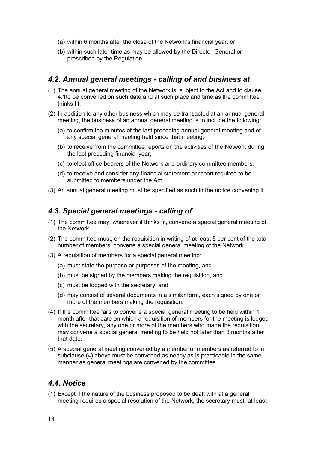- (a) within 6 months after the close of the Network's financial year, or
- (b) within such later time as may be allowed by the Director-General or prescribed by the Regulation.

#### 4.2. Annual general meetings - calling of and business at

- (1) The annual general meeting of the Network is, subject to the Act and to clause 4.1to be convened on such date and at such place and time as the committee thinks fit.
- (2) In addition to any other business which may be transacted at an annual general meeting, the business of an annual general meeting is to include the following:
	- (a) to confirm the minutes of the last preceding annual general meeting and of any special general meeting held since that meeting,
	- (b) to receive from the committee reports on the activities of the Network during the last preceding financial year,
	- (c) to elect office-bearers of the Network and ordinary committee members,
	- (d) to receive and consider any financial statement or report required to be submitted to members under the Act.
- (3) An annual general meeting must be specified as such in the notice convening it.

#### 4.3. Special general meetings - calling of

- (1) The committee may, whenever it thinks fit, convene a special general meeting of the Network.
- (2) The committee must, on the requisition in writing of at least 5 per cent of the total number of members, convene a special general meeting of the Network.
- (3) A requisition of members for a special general meeting:
	- (a) must state the purpose or purposes of the meeting, and
	- (b) must be signed by the members making the requisition, and
	- (c) must be lodged with the secretary, and
	- (d) may consist of several documents in a similar form, each signed by one or more of the members making the requisition.
- (4) If the committee fails to convene a special general meeting to be held within 1 month after that date on which a requisition of members for the meeting is lodged with the secretary, any one or more of the members who made the requisition may convene a special general meeting to be held not later than 3 months after that date.
- (5) A special general meeting convened by a member or members as referred to in subclause (4) above must be convened as nearly as is practicable in the same manner as general meetings are convened by the committee.

#### 4.4. Notice

(1) Except if the nature of the business proposed to be dealt with at a general meeting requires a special resolution of the Network, the secretary must, at least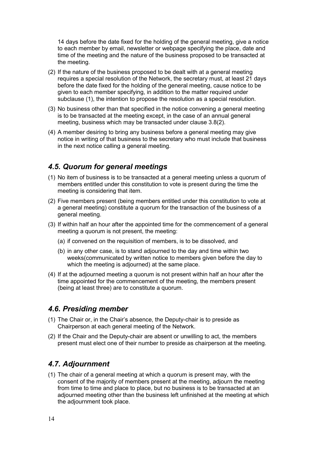14 days before the date fixed for the holding of the general meeting, give a notice to each member by email, newsletter or webpage specifying the place, date and time of the meeting and the nature of the business proposed to be transacted at the meeting.

- (2) If the nature of the business proposed to be dealt with at a general meeting requires a special resolution of the Network, the secretary must, at least 21 days before the date fixed for the holding of the general meeting, cause notice to be given to each member specifying, in addition to the matter required under subclause (1), the intention to propose the resolution as a special resolution.
- (3) No business other than that specified in the notice convening a general meeting is to be transacted at the meeting except, in the case of an annual general meeting, business which may be transacted under clause 3.8(2).
- (4) A member desiring to bring any business before a general meeting may give notice in writing of that business to the secretary who must include that business in the next notice calling a general meeting.

# 4.5. Quorum for general meetings

- (1) No item of business is to be transacted at a general meeting unless a quorum of members entitled under this constitution to vote is present during the time the meeting is considering that item.
- (2) Five members present (being members entitled under this constitution to vote at a general meeting) constitute a quorum for the transaction of the business of a general meeting.
- (3) If within half an hour after the appointed time for the commencement of a general meeting a quorum is not present, the meeting:
	- (a) if convened on the requisition of members, is to be dissolved, and
	- (b) in any other case, is to stand adjourned to the day and time within two weeks(communicated by written notice to members given before the day to which the meeting is adjourned) at the same place.
- (4) If at the adjourned meeting a quorum is not present within half an hour after the time appointed for the commencement of the meeting, the members present (being at least three) are to constitute a quorum.

# 4.6. Presiding member

- (1) The Chair or, in the Chair's absence, the Deputy-chair is to preside as Chairperson at each general meeting of the Network.
- (2) If the Chair and the Deputy-chair are absent or unwilling to act, the members present must elect one of their number to preside as chairperson at the meeting.

# 4.7. Adjournment

(1) The chair of a general meeting at which a quorum is present may, with the consent of the majority of members present at the meeting, adjourn the meeting from time to time and place to place, but no business is to be transacted at an adjourned meeting other than the business left unfinished at the meeting at which the adjournment took place.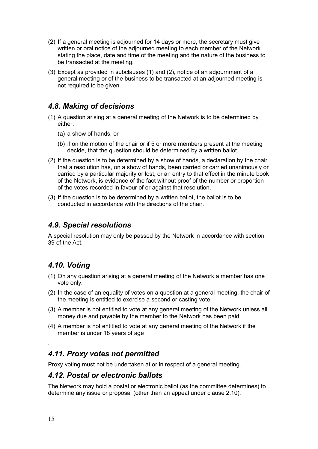- (2) If a general meeting is adjourned for 14 days or more, the secretary must give written or oral notice of the adjourned meeting to each member of the Network stating the place, date and time of the meeting and the nature of the business to be transacted at the meeting.
- (3) Except as provided in subclauses (1) and (2), notice of an adjournment of a general meeting or of the business to be transacted at an adjourned meeting is not required to be given.

# 4.8. Making of decisions

- (1) A question arising at a general meeting of the Network is to be determined by either:
	- (a) a show of hands, or
	- (b) if on the motion of the chair or if 5 or more members present at the meeting decide, that the question should be determined by a written ballot.
- (2) If the question is to be determined by a show of hands, a declaration by the chair that a resolution has, on a show of hands, been carried or carried unanimously or carried by a particular majority or lost, or an entry to that effect in the minute book of the Network, is evidence of the fact without proof of the number or proportion of the votes recorded in favour of or against that resolution.
- (3) If the question is to be determined by a written ballot, the ballot is to be conducted in accordance with the directions of the chair.

### 4.9. Special resolutions

A special resolution may only be passed by the Network in accordance with section 39 of the Act.

# 4.10. Voting

- (1) On any question arising at a general meeting of the Network a member has one vote only.
- (2) In the case of an equality of votes on a question at a general meeting, the chair of the meeting is entitled to exercise a second or casting vote.
- (3) A member is not entitled to vote at any general meeting of the Network unless all money due and payable by the member to the Network has been paid.
- (4) A member is not entitled to vote at any general meeting of the Network if the member is under 18 years of age

# 4.11. Proxy votes not permitted

Proxy voting must not be undertaken at or in respect of a general meeting.

#### 4.12. Postal or electronic ballots

The Network may hold a postal or electronic ballot (as the committee determines) to determine any issue or proposal (other than an appeal under clause 2.10).

.

.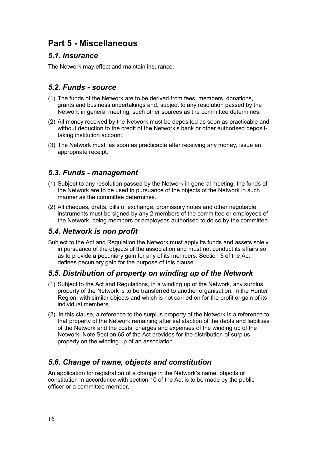# Part 5 - Miscellaneous

# 5.1. Insurance

The Network may effect and maintain insurance.

# 5.2. Funds - source

- (1) The funds of the Network are to be derived from fees, members, donations, grants and business undertakings and, subject to any resolution passed by the Network in general meeting, such other sources as the committee determines.
- (2) All money received by the Network must be deposited as soon as practicable and without deduction to the credit of the Network's bank or other authorised deposittaking institution account.
- (3) The Network must, as soon as practicable after receiving any money, issue an appropriate receipt.

# 5.3. Funds - management

- (1) Subject to any resolution passed by the Network in general meeting, the funds of the Network are to be used in pursuance of the objects of the Network in such manner as the committee determines.
- (2) All cheques, drafts, bills of exchange, promissory notes and other negotiable instruments must be signed by any 2 members of the committee or employees of the Network, being members or employees authorised to do so by the committee.

# 5.4. Network is non profit

Subject to the Act and Regulation the Network must apply its funds and assets solely in pursuance of the objects of the association and must not conduct its affairs so as to provide a pecuniary gain for any of its members. Section 5 of the Act defines pecuniary gain for the purpose of this clause.

# 5.5. Distribution of property on winding up of the Network

- (1) Subject to the Act and Regulations, in a winding up of the Network, any surplus property of the Network is to be transferred to another organisation, in the Hunter Region, with similar objects and which is not carried on for the profit or gain of its individual members.
- (2) In this clause, a reference to the surplus property of the Network is a reference to that property of the Network remaining after satisfaction of the debts and liabilities of the Network and the costs, charges and expenses of the winding up of the Network. Note Section 65 of the Act provides for the distribution of surplus property on the winding up of an association.

# 5.6. Change of name, objects and constitution

An application for registration of a change in the Network's name, objects or constitution in accordance with section 10 of the Act is to be made by the public officer or a committee member.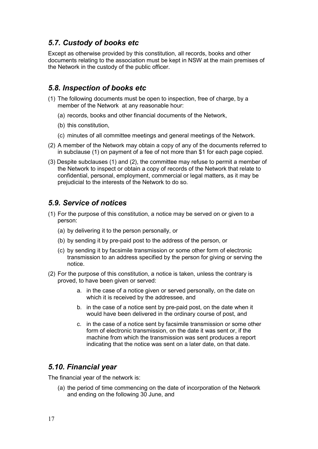# 5.7. Custody of books etc

Except as otherwise provided by this constitution, all records, books and other documents relating to the association must be kept in NSW at the main premises of the Network in the custody of the public officer.

#### 5.8. Inspection of books etc

- (1) The following documents must be open to inspection, free of charge, by a member of the Network at any reasonable hour:
	- (a) records, books and other financial documents of the Network,
	- (b) this constitution,
	- (c) minutes of all committee meetings and general meetings of the Network.
- (2) A member of the Network may obtain a copy of any of the documents referred to in subclause (1) on payment of a fee of not more than \$1 for each page copied.
- (3) Despite subclauses (1) and (2), the committee may refuse to permit a member of the Network to inspect or obtain a copy of records of the Network that relate to confidential, personal, employment, commercial or legal matters, as it may be prejudicial to the interests of the Network to do so.

#### 5.9. Service of notices

- (1) For the purpose of this constitution, a notice may be served on or given to a person:
	- (a) by delivering it to the person personally, or
	- (b) by sending it by pre-paid post to the address of the person, or
	- (c) by sending it by facsimile transmission or some other form of electronic transmission to an address specified by the person for giving or serving the notice.
- (2) For the purpose of this constitution, a notice is taken, unless the contrary is proved, to have been given or served:
	- a. in the case of a notice given or served personally, on the date on which it is received by the addressee, and
	- b. in the case of a notice sent by pre-paid post, on the date when it would have been delivered in the ordinary course of post, and
	- c. in the case of a notice sent by facsimile transmission or some other form of electronic transmission, on the date it was sent or, if the machine from which the transmission was sent produces a report indicating that the notice was sent on a later date, on that date.

#### 5.10. Financial year

The financial year of the network is:

(a) the period of time commencing on the date of incorporation of the Network and ending on the following 30 June, and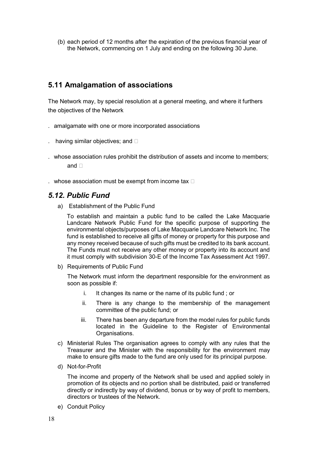(b) each period of 12 months after the expiration of the previous financial year of the Network, commencing on 1 July and ending on the following 30 June.

# 5.11 Amalgamation of associations

The Network may, by special resolution at a general meeting, and where it furthers the objectives of the Network

- . amalgamate with one or more incorporated associations
- having similar objectives; and  $\square$
- . whose association rules prohibit the distribution of assets and income to members; and  $\Box$
- . whose association must be exempt from income tax  $\Box$

# 5.12. Public Fund

a) Establishment of the Public Fund

To establish and maintain a public fund to be called the Lake Macquarie Landcare Network Public Fund for the specific purpose of supporting the environmental objects/purposes of Lake Macquarie Landcare Network Inc. The fund is established to receive all gifts of money or property for this purpose and any money received because of such gifts must be credited to its bank account. The Funds must not receive any other money or property into its account and it must comply with subdivision 30-E of the Income Tax Assessment Act 1997.

b) Requirements of Public Fund

The Network must inform the department responsible for the environment as soon as possible if:

- i. It changes its name or the name of its public fund ; or
- ii. There is any change to the membership of the management committee of the public fund; or
- iii. There has been any departure from the model rules for public funds located in the Guideline to the Register of Environmental Organisations.
- c) Ministerial Rules The organisation agrees to comply with any rules that the Treasurer and the Minister with the responsibility for the environment may make to ensure gifts made to the fund are only used for its principal purpose.
- d) Not-for-Profit

The income and property of the Network shall be used and applied solely in promotion of its objects and no portion shall be distributed, paid or transferred directly or indirectly by way of dividend, bonus or by way of profit to members, directors or trustees of the Network.

e) Conduit Policy